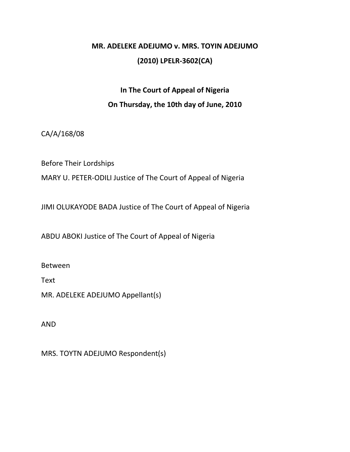## **MR. ADELEKE ADEJUMO v. MRS. TOYIN ADEJUMO (2010) LPELR-3602(CA)**

## **In The Court of Appeal of Nigeria On Thursday, the 10th day of June, 2010**

CA/A/168/08

Before Their Lordships

MARY U. PETER-ODILI Justice of The Court of Appeal of Nigeria

JIMI OLUKAYODE BADA Justice of The Court of Appeal of Nigeria

ABDU ABOKI Justice of The Court of Appeal of Nigeria

Between

Text

MR. ADELEKE ADEJUMO Appellant(s)

AND

MRS. TOYTN ADEJUMO Respondent(s)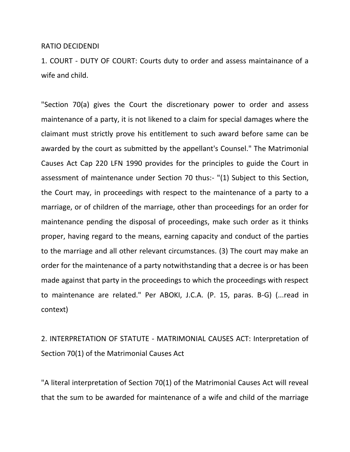## RATIO DECIDENDI

1. COURT - DUTY OF COURT: Courts duty to order and assess maintainance of a wife and child.

"Section 70(a) gives the Court the discretionary power to order and assess maintenance of a party, it is not likened to a claim for special damages where the claimant must strictly prove his entitlement to such award before same can be awarded by the court as submitted by the appellant's Counsel." The Matrimonial Causes Act Cap 220 LFN 1990 provides for the principles to guide the Court in assessment of maintenance under Section 70 thus:- "(1) Subject to this Section, the Court may, in proceedings with respect to the maintenance of a party to a marriage, or of children of the marriage, other than proceedings for an order for maintenance pending the disposal of proceedings, make such order as it thinks proper, having regard to the means, earning capacity and conduct of the parties to the marriage and all other relevant circumstances. (3) The court may make an order for the maintenance of a party notwithstanding that a decree is or has been made against that party in the proceedings to which the proceedings with respect to maintenance are related." Per ABOKI, J.C.A. (P. 15, paras. B-G) (...read in context)

2. INTERPRETATION OF STATUTE - MATRIMONIAL CAUSES ACT: Interpretation of Section 70(1) of the Matrimonial Causes Act

"A literal interpretation of Section 70(1) of the Matrimonial Causes Act will reveal that the sum to be awarded for maintenance of a wife and child of the marriage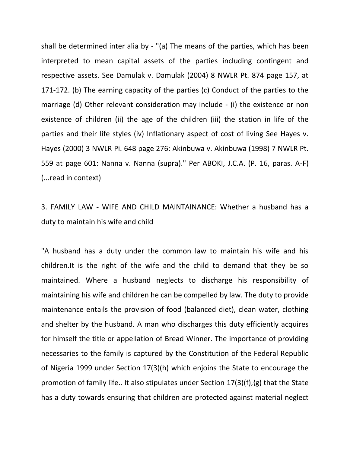shall be determined inter alia by - "(a) The means of the parties, which has been interpreted to mean capital assets of the parties including contingent and respective assets. See Damulak v. Damulak (2004) 8 NWLR Pt. 874 page 157, at 171-172. (b) The earning capacity of the parties (c) Conduct of the parties to the marriage (d) Other relevant consideration may include - (i) the existence or non existence of children (ii) the age of the children (iii) the station in life of the parties and their life styles (iv) Inflationary aspect of cost of living See Hayes v. Hayes (2000) 3 NWLR Pi. 648 page 276: Akinbuwa v. Akinbuwa (1998) 7 NWLR Pt. 559 at page 601: Nanna v. Nanna (supra)." Per ABOKI, J.C.A. (P. 16, paras. A-F) (...read in context)

3. FAMILY LAW - WIFE AND CHILD MAINTAINANCE: Whether a husband has a duty to maintain his wife and child

"A husband has a duty under the common law to maintain his wife and his children.It is the right of the wife and the child to demand that they be so maintained. Where a husband neglects to discharge his responsibility of maintaining his wife and children he can be compelled by law. The duty to provide maintenance entails the provision of food (balanced diet), clean water, clothing and shelter by the husband. A man who discharges this duty efficiently acquires for himself the title or appellation of Bread Winner. The importance of providing necessaries to the family is captured by the Constitution of the Federal Republic of Nigeria 1999 under Section 17(3)(h) which enjoins the State to encourage the promotion of family life.. It also stipulates under Section 17(3)(f),{g) that the State has a duty towards ensuring that children are protected against material neglect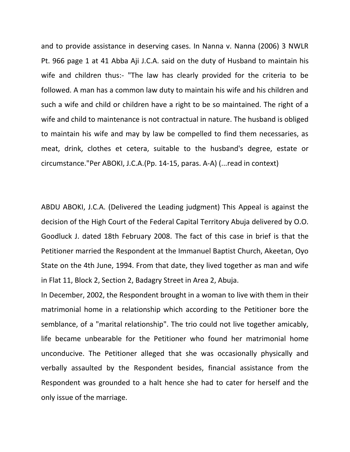and to provide assistance in deserving cases. In Nanna v. Nanna (2006) 3 NWLR Pt. 966 page 1 at 41 Abba Aji J.C.A. said on the duty of Husband to maintain his wife and children thus:- "The law has clearly provided for the criteria to be followed. A man has a common law duty to maintain his wife and his children and such a wife and child or children have a right to be so maintained. The right of a wife and child to maintenance is not contractual in nature. The husband is obliged to maintain his wife and may by law be compelled to find them necessaries, as meat, drink, clothes et cetera, suitable to the husband's degree, estate or circumstance."Per ABOKI, J.C.A.(Pp. 14-15, paras. A-A) (...read in context)

ABDU ABOKI, J.C.A. (Delivered the Leading judgment) This Appeal is against the decision of the High Court of the Federal Capital Territory Abuja delivered by O.O. Goodluck J. dated 18th February 2008. The fact of this case in brief is that the Petitioner married the Respondent at the Immanuel Baptist Church, Akeetan, Oyo State on the 4th June, 1994. From that date, they lived together as man and wife in Flat 11, Block 2, Section 2, Badagry Street in Area 2, Abuja.

In December, 2002, the Respondent brought in a woman to live with them in their matrimonial home in a relationship which according to the Petitioner bore the semblance, of a "marital relationship". The trio could not live together amicably, life became unbearable for the Petitioner who found her matrimonial home unconducive. The Petitioner alleged that she was occasionally physically and verbally assaulted by the Respondent besides, financial assistance from the Respondent was grounded to a halt hence she had to cater for herself and the only issue of the marriage.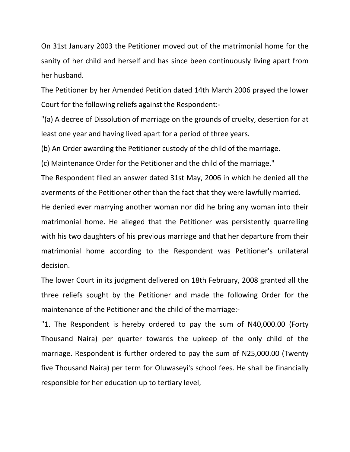On 31st January 2003 the Petitioner moved out of the matrimonial home for the sanity of her child and herself and has since been continuously living apart from her husband.

The Petitioner by her Amended Petition dated 14th March 2006 prayed the lower Court for the following reliefs against the Respondent:-

"(a) A decree of Dissolution of marriage on the grounds of cruelty, desertion for at least one year and having lived apart for a period of three years.

(b) An Order awarding the Petitioner custody of the child of the marriage.

(c) Maintenance Order for the Petitioner and the child of the marriage."

The Respondent filed an answer dated 31st May, 2006 in which he denied all the averments of the Petitioner other than the fact that they were lawfully married.

He denied ever marrying another woman nor did he bring any woman into their matrimonial home. He alleged that the Petitioner was persistently quarrelling with his two daughters of his previous marriage and that her departure from their matrimonial home according to the Respondent was Petitioner's unilateral decision.

The lower Court in its judgment delivered on 18th February, 2008 granted all the three reliefs sought by the Petitioner and made the following Order for the maintenance of the Petitioner and the child of the marriage:-

"1. The Respondent is hereby ordered to pay the sum of N40,000.00 (Forty Thousand Naira) per quarter towards the upkeep of the only child of the marriage. Respondent is further ordered to pay the sum of N25,000.00 (Twenty five Thousand Naira) per term for Oluwaseyi's school fees. He shall be financially responsible for her education up to tertiary level,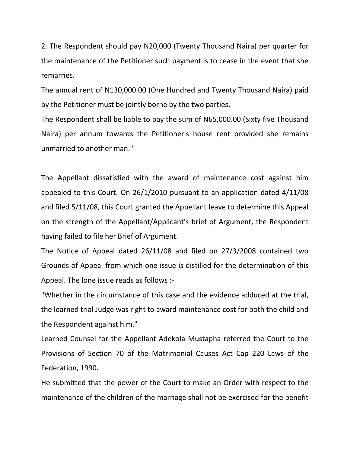2. The Respondent should pay N20,000 (Twenty Thousand Naira) per quarter for the maintenance of the Petitioner such payment is to cease in the event that she remarries.

The annual rent of N130,000.00 (One Hundred and Twenty Thousand Naira) paid by the Petitioner must be jointly borne by the two parties.

The Respondent shall be liable to pay the sum of N65,000.00 (Sixty five Thousand Naira) per annum towards the Petitioner's house rent provided she remains unmarried to another man."

The Appellant dissatisfied with the award of maintenance cost against him appealed to this Court. On 26/1/2010 pursuant to an application dated 4/11/08 and filed 5/11/08, this Court granted the Appellant leave to determine this Appeal on the strength of the Appellant/Applicant's brief of Argument, the Respondent having failed to file her Brief of Argument.

The Notice of Appeal dated 26/11/08 and filed on 27/3/2008 contained two Grounds of Appeal from which one issue is distilled for the determination of this Appeal. The lone issue reads as follows :-

"Whether in the circumstance of this case and the evidence adduced at the trial, the learned trial Judge was right to award maintenance cost for both the child and the Respondent against him."

Learned Counsel for the Appellant Adekola Mustapha referred the Court to the Provisions of Section 70 of the Matrimonial Causes Act Cap 220 Laws of the Federation, 1990.

He submitted that the power of the Court to make an Order with respect to the maintenance of the children of the marriage shall not be exercised for the benefit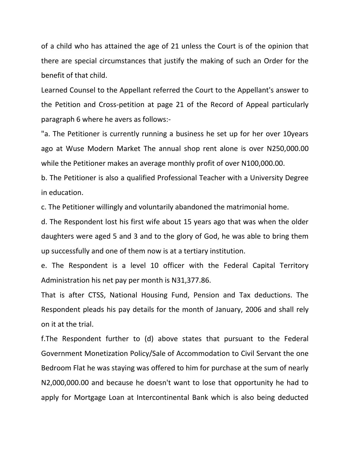of a child who has attained the age of 21 unless the Court is of the opinion that there are special circumstances that justify the making of such an Order for the benefit of that child.

Learned Counsel to the Appellant referred the Court to the Appellant's answer to the Petition and Cross-petition at page 21 of the Record of Appeal particularly paragraph 6 where he avers as follows:-

"a. The Petitioner is currently running a business he set up for her over 10years ago at Wuse Modern Market The annual shop rent alone is over N250,000.00 while the Petitioner makes an average monthly profit of over N100,000.00.

b. The Petitioner is also a qualified Professional Teacher with a University Degree in education.

c. The Petitioner willingly and voluntarily abandoned the matrimonial home.

d. The Respondent lost his first wife about 15 years ago that was when the older daughters were aged 5 and 3 and to the glory of God, he was able to bring them up successfully and one of them now is at a tertiary institution.

e. The Respondent is a level 10 officer with the Federal Capital Territory Administration his net pay per month is N31,377.86.

That is after CTSS, National Housing Fund, Pension and Tax deductions. The Respondent pleads his pay details for the month of January, 2006 and shall rely on it at the trial.

f.The Respondent further to (d) above states that pursuant to the Federal Government Monetization Policy/Sale of Accommodation to Civil Servant the one Bedroom Flat he was staying was offered to him for purchase at the sum of nearly N2,000,000.00 and because he doesn't want to lose that opportunity he had to apply for Mortgage Loan at Intercontinental Bank which is also being deducted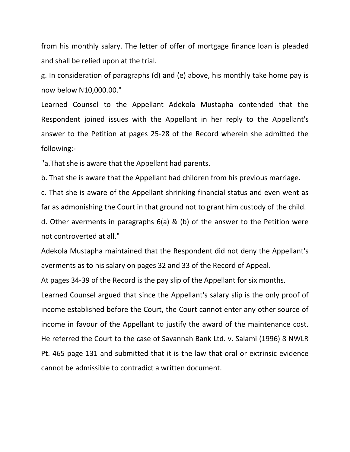from his monthly salary. The letter of offer of mortgage finance loan is pleaded and shall be relied upon at the trial.

g. In consideration of paragraphs (d) and (e) above, his monthly take home pay is now below N10,000.00."

Learned Counsel to the Appellant Adekola Mustapha contended that the Respondent joined issues with the Appellant in her reply to the Appellant's answer to the Petition at pages 25-28 of the Record wherein she admitted the following:-

"a.That she is aware that the Appellant had parents.

b. That she is aware that the Appellant had children from his previous marriage.

c. That she is aware of the Appellant shrinking financial status and even went as far as admonishing the Court in that ground not to grant him custody of the child.

d. Other averments in paragraphs 6(a) & (b) of the answer to the Petition were not controverted at all."

Adekola Mustapha maintained that the Respondent did not deny the Appellant's averments as to his salary on pages 32 and 33 of the Record of Appeal.

At pages 34-39 of the Record is the pay slip of the Appellant for six months.

Learned Counsel argued that since the Appellant's salary slip is the only proof of income established before the Court, the Court cannot enter any other source of income in favour of the Appellant to justify the award of the maintenance cost. He referred the Court to the case of Savannah Bank Ltd. v. Salami (1996) 8 NWLR Pt. 465 page 131 and submitted that it is the law that oral or extrinsic evidence cannot be admissible to contradict a written document.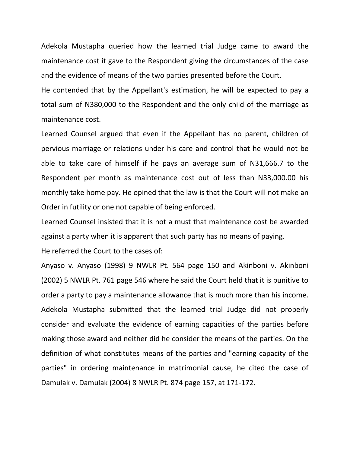Adekola Mustapha queried how the learned trial Judge came to award the maintenance cost it gave to the Respondent giving the circumstances of the case and the evidence of means of the two parties presented before the Court.

He contended that by the Appellant's estimation, he will be expected to pay a total sum of N380,000 to the Respondent and the only child of the marriage as maintenance cost.

Learned Counsel argued that even if the Appellant has no parent, children of pervious marriage or relations under his care and control that he would not be able to take care of himself if he pays an average sum of N31,666.7 to the Respondent per month as maintenance cost out of less than N33,000.00 his monthly take home pay. He opined that the law is that the Court will not make an Order in futility or one not capable of being enforced.

Learned Counsel insisted that it is not a must that maintenance cost be awarded against a party when it is apparent that such party has no means of paying.

He referred the Court to the cases of:

Anyaso v. Anyaso (1998) 9 NWLR Pt. 564 page 150 and Akinboni v. Akinboni (2002) 5 NWLR Pt. 761 page 546 where he said the Court held that it is punitive to order a party to pay a maintenance allowance that is much more than his income. Adekola Mustapha submitted that the learned trial Judge did not properly consider and evaluate the evidence of earning capacities of the parties before making those award and neither did he consider the means of the parties. On the definition of what constitutes means of the parties and "earning capacity of the parties" in ordering maintenance in matrimonial cause, he cited the case of Damulak v. Damulak (2004) 8 NWLR Pt. 874 page 157, at 171-172.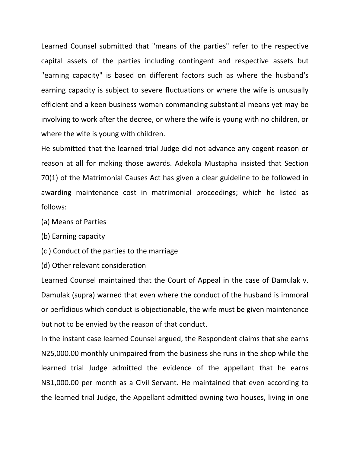Learned Counsel submitted that "means of the parties" refer to the respective capital assets of the parties including contingent and respective assets but "earning capacity" is based on different factors such as where the husband's earning capacity is subject to severe fluctuations or where the wife is unusually efficient and a keen business woman commanding substantial means yet may be involving to work after the decree, or where the wife is young with no children, or where the wife is young with children.

He submitted that the learned trial Judge did not advance any cogent reason or reason at all for making those awards. Adekola Mustapha insisted that Section 70(1) of the Matrimonial Causes Act has given a clear guideline to be followed in awarding maintenance cost in matrimonial proceedings; which he listed as follows:

- (a) Means of Parties
- (b) Earning capacity
- (c ) Conduct of the parties to the marriage
- (d) Other relevant consideration

Learned Counsel maintained that the Court of Appeal in the case of Damulak v. Damulak (supra) warned that even where the conduct of the husband is immoral or perfidious which conduct is objectionable, the wife must be given maintenance but not to be envied by the reason of that conduct.

In the instant case learned Counsel argued, the Respondent claims that she earns N25,000.00 monthly unimpaired from the business she runs in the shop while the learned trial Judge admitted the evidence of the appellant that he earns N31,000.00 per month as a Civil Servant. He maintained that even according to the learned trial Judge, the Appellant admitted owning two houses, living in one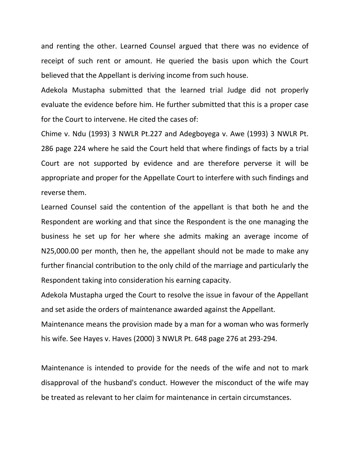and renting the other. Learned Counsel argued that there was no evidence of receipt of such rent or amount. He queried the basis upon which the Court believed that the Appellant is deriving income from such house.

Adekola Mustapha submitted that the learned trial Judge did not properly evaluate the evidence before him. He further submitted that this is a proper case for the Court to intervene. He cited the cases of:

Chime v. Ndu (1993) 3 NWLR Pt.227 and Adegboyega v. Awe (1993) 3 NWLR Pt. 286 page 224 where he said the Court held that where findings of facts by a trial Court are not supported by evidence and are therefore perverse it will be appropriate and proper for the Appellate Court to interfere with such findings and reverse them.

Learned Counsel said the contention of the appellant is that both he and the Respondent are working and that since the Respondent is the one managing the business he set up for her where she admits making an average income of N25,000.00 per month, then he, the appellant should not be made to make any further financial contribution to the only child of the marriage and particularly the Respondent taking into consideration his earning capacity.

Adekola Mustapha urged the Court to resolve the issue in favour of the Appellant and set aside the orders of maintenance awarded against the Appellant.

Maintenance means the provision made by a man for a woman who was formerly his wife. See Hayes v. Haves (2000) 3 NWLR Pt. 648 page 276 at 293-294.

Maintenance is intended to provide for the needs of the wife and not to mark disapproval of the husband's conduct. However the misconduct of the wife may be treated as relevant to her claim for maintenance in certain circumstances.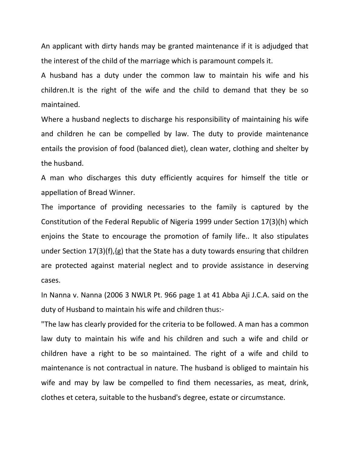An applicant with dirty hands may be granted maintenance if it is adjudged that the interest of the child of the marriage which is paramount compels it.

A husband has a duty under the common law to maintain his wife and his children.It is the right of the wife and the child to demand that they be so maintained.

Where a husband neglects to discharge his responsibility of maintaining his wife and children he can be compelled by law. The duty to provide maintenance entails the provision of food (balanced diet), clean water, clothing and shelter by the husband.

A man who discharges this duty efficiently acquires for himself the title or appellation of Bread Winner.

The importance of providing necessaries to the family is captured by the Constitution of the Federal Republic of Nigeria 1999 under Section 17(3)(h) which enjoins the State to encourage the promotion of family life.. It also stipulates under Section 17(3)(f),{g) that the State has a duty towards ensuring that children are protected against material neglect and to provide assistance in deserving cases.

In Nanna v. Nanna (2006 3 NWLR Pt. 966 page 1 at 41 Abba Aji J.C.A. said on the duty of Husband to maintain his wife and children thus:-

"The law has clearly provided for the criteria to be followed. A man has a common law duty to maintain his wife and his children and such a wife and child or children have a right to be so maintained. The right of a wife and child to maintenance is not contractual in nature. The husband is obliged to maintain his wife and may by law be compelled to find them necessaries, as meat, drink, clothes et cetera, suitable to the husband's degree, estate or circumstance.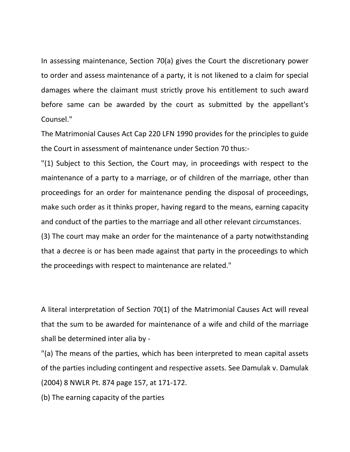In assessing maintenance, Section 70(a) gives the Court the discretionary power to order and assess maintenance of a party, it is not likened to a claim for special damages where the claimant must strictly prove his entitlement to such award before same can be awarded by the court as submitted by the appellant's Counsel."

The Matrimonial Causes Act Cap 220 LFN 1990 provides for the principles to guide the Court in assessment of maintenance under Section 70 thus:-

"(1) Subject to this Section, the Court may, in proceedings with respect to the maintenance of a party to a marriage, or of children of the marriage, other than proceedings for an order for maintenance pending the disposal of proceedings, make such order as it thinks proper, having regard to the means, earning capacity and conduct of the parties to the marriage and all other relevant circumstances.

(3) The court may make an order for the maintenance of a party notwithstanding that a decree is or has been made against that party in the proceedings to which the proceedings with respect to maintenance are related."

A literal interpretation of Section 70(1) of the Matrimonial Causes Act will reveal that the sum to be awarded for maintenance of a wife and child of the marriage shall be determined inter alia by -

"(a) The means of the parties, which has been interpreted to mean capital assets of the parties including contingent and respective assets. See Damulak v. Damulak (2004) 8 NWLR Pt. 874 page 157, at 171-172.

(b) The earning capacity of the parties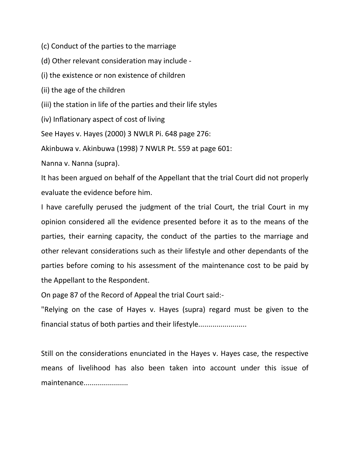(c) Conduct of the parties to the marriage

(d) Other relevant consideration may include -

(i) the existence or non existence of children

(ii) the age of the children

(iii) the station in life of the parties and their life styles

(iv) Inflationary aspect of cost of living

See Hayes v. Hayes (2000) 3 NWLR Pi. 648 page 276:

Akinbuwa v. Akinbuwa (1998) 7 NWLR Pt. 559 at page 601:

Nanna v. Nanna (supra).

It has been argued on behalf of the Appellant that the trial Court did not properly evaluate the evidence before him.

I have carefully perused the judgment of the trial Court, the trial Court in my opinion considered all the evidence presented before it as to the means of the parties, their earning capacity, the conduct of the parties to the marriage and other relevant considerations such as their lifestyle and other dependants of the parties before coming to his assessment of the maintenance cost to be paid by the Appellant to the Respondent.

On page 87 of the Record of Appeal the trial Court said:-

"Relying on the case of Hayes v. Hayes (supra) regard must be given to the financial status of both parties and their lifestyle............................

Still on the considerations enunciated in the Hayes v. Hayes case, the respective means of livelihood has also been taken into account under this issue of maintenance.....................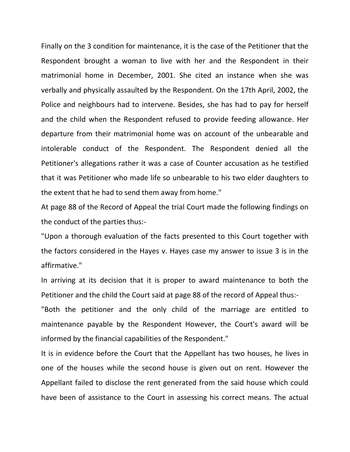Finally on the 3 condition for maintenance, it is the case of the Petitioner that the Respondent brought a woman to live with her and the Respondent in their matrimonial home in December, 2001. She cited an instance when she was verbally and physically assaulted by the Respondent. On the 17th April, 2002, the Police and neighbours had to intervene. Besides, she has had to pay for herself and the child when the Respondent refused to provide feeding allowance. Her departure from their matrimonial home was on account of the unbearable and intolerable conduct of the Respondent. The Respondent denied all the Petitioner's allegations rather it was a case of Counter accusation as he testified that it was Petitioner who made life so unbearable to his two elder daughters to the extent that he had to send them away from home."

At page 88 of the Record of Appeal the trial Court made the following findings on the conduct of the parties thus:-

"Upon a thorough evaluation of the facts presented to this Court together with the factors considered in the Hayes v. Hayes case my answer to issue 3 is in the affirmative."

In arriving at its decision that it is proper to award maintenance to both the Petitioner and the child the Court said at page 88 of the record of Appeal thus:-

"Both the petitioner and the only child of the marriage are entitled to maintenance payable by the Respondent However, the Court's award will be informed by the financial capabilities of the Respondent."

It is in evidence before the Court that the Appellant has two houses, he lives in one of the houses while the second house is given out on rent. However the Appellant failed to disclose the rent generated from the said house which could have been of assistance to the Court in assessing his correct means. The actual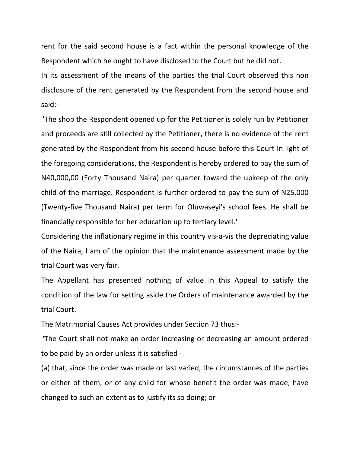rent for the said second house is a fact within the personal knowledge of the Respondent which he ought to have disclosed to the Court but he did not.

In its assessment of the means of the parties the trial Court observed this non disclosure of the rent generated by the Respondent from the second house and said:-

"The shop the Respondent opened up for the Petitioner is solely run by Petitioner and proceeds are still collected by the Petitioner, there is no evidence of the rent generated by the Respondent from his second house before this Court In light of the foregoing considerations, the Respondent is hereby ordered to pay the sum of N40,000,00 (Forty Thousand Naira) per quarter toward the upkeep of the only child of the marriage. Respondent is further ordered to pay the sum of N25,000 (Twenty-five Thousand Naira) per term for Oluwaseyi's school fees. He shall be financially responsible for her education up to tertiary level."

Considering the inflationary regime in this country vis-a-vis the depreciating value of the Naira, I am of the opinion that the maintenance assessment made by the trial Court was very fair.

The Appellant has presented nothing of value in this Appeal to satisfy the condition of the law for setting aside the Orders of maintenance awarded by the trial Court.

The Matrimonial Causes Act provides under Section 73 thus:-

"The Court shall not make an order increasing or decreasing an amount ordered to be paid by an order unless it is satisfied -

(a) that, since the order was made or last varied, the circumstances of the parties or either of them, or of any child for whose benefit the order was made, have changed to such an extent as to justify its so doing; or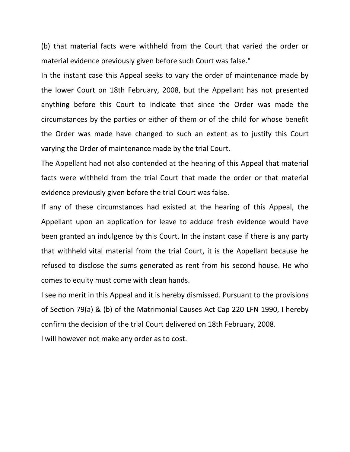(b) that material facts were withheld from the Court that varied the order or material evidence previously given before such Court was false."

In the instant case this Appeal seeks to vary the order of maintenance made by the lower Court on 18th February, 2008, but the Appellant has not presented anything before this Court to indicate that since the Order was made the circumstances by the parties or either of them or of the child for whose benefit the Order was made have changed to such an extent as to justify this Court varying the Order of maintenance made by the trial Court.

The Appellant had not also contended at the hearing of this Appeal that material facts were withheld from the trial Court that made the order or that material evidence previously given before the trial Court was false.

If any of these circumstances had existed at the hearing of this Appeal, the Appellant upon an application for leave to adduce fresh evidence would have been granted an indulgence by this Court. In the instant case if there is any party that withheld vital material from the trial Court, it is the Appellant because he refused to disclose the sums generated as rent from his second house. He who comes to equity must come with clean hands.

I see no merit in this Appeal and it is hereby dismissed. Pursuant to the provisions of Section 79(a) & (b) of the Matrimonial Causes Act Cap 220 LFN 1990, I hereby confirm the decision of the trial Court delivered on 18th February, 2008.

I will however not make any order as to cost.